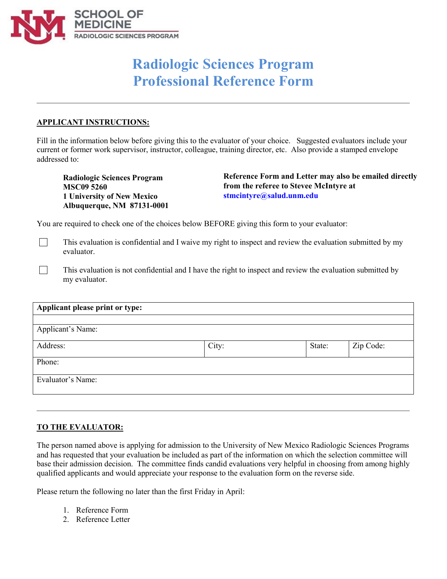

## **Radiologic Sciences Program Professional Reference Form**

## **APPLICANT INSTRUCTIONS:**

 $\Box$ 

 $\Box$ 

Fill in the information below before giving this to the evaluator of your choice. Suggested evaluators include your current or former work supervisor, instructor, colleague, training director, etc. Also provide a stamped envelope addressed to:

**Radiologic Sciences Program MSC09 5260 1 University of New Mexico Albuquerque, NM 87131-0001**  **Reference Form and Letter may also be emailed directly from the referee to Stevee McIntyre at stmcintyre@salud.unm.edu** 

You are required to check one of the choices below BEFORE giving this form to your evaluator:

This evaluation is confidential and I waive my right to inspect and review the evaluation submitted by my evaluator.

This evaluation is not confidential and I have the right to inspect and review the evaluation submitted by my evaluator.

| Applicant please print or type: |       |        |           |
|---------------------------------|-------|--------|-----------|
|                                 |       |        |           |
| Applicant's Name:               |       |        |           |
| Address:                        | City: | State: | Zip Code: |
| Phone:                          |       |        |           |
| Evaluator's Name:               |       |        |           |
|                                 |       |        |           |

## **TO THE EVALUATOR:**

The person named above is applying for admission to the University of New Mexico Radiologic Sciences Programs and has requested that your evaluation be included as part of the information on which the selection committee will base their admission decision. The committee finds candid evaluations very helpful in choosing from among highly qualified applicants and would appreciate your response to the evaluation form on the reverse side.

Please return the following no later than the first Friday in April:

- 1. Reference Form
- 2. Reference Letter